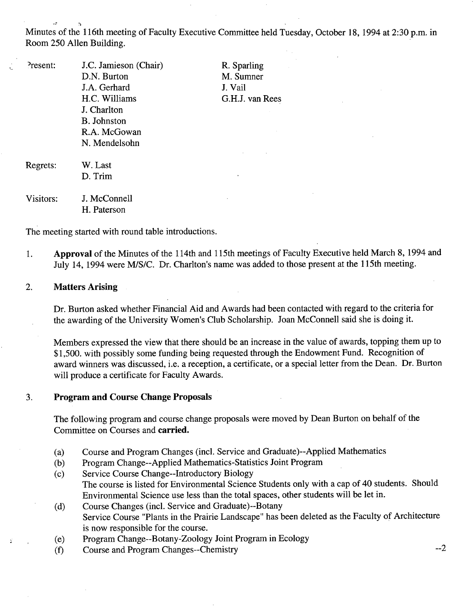Minutes of the 116th meeting of Faculty Executive Committee held Tuesday, October 18, 1994 at 2:30 p.m. in Room *250* Allen Building.

| Present:  | J.C. Jamieson (Chair) | R. Sparling     |
|-----------|-----------------------|-----------------|
|           | D.N. Burton           | M. Sumner       |
|           | J.A. Gerhard          | J. Vail         |
|           | H.C. Williams         | G.H.J. van Rees |
|           | J. Charlton           |                 |
|           | B. Johnston           |                 |
|           | R.A. McGowan          |                 |
|           | N. Mendelsohn         |                 |
| Regrets:  | W. Last               |                 |
|           | D. Trim               |                 |
| Visitors: | J. McConnell          |                 |
|           | H. Paterson           |                 |

The meeting started with round table introductions.

1. **Approval** of the Minutes of the 114th and 115th meetings of Faculty Executive held March 8, 1994 and July 14, 1994 were MIS/C. Dr. Charlton's name was added to those present at the 115th meeting.

#### $\overline{2}$ . **Matters Arising**

Dr. Burton asked whether Financial Aid and Awards had been contacted with regard to the criteria for the awarding of the University Women's Club Scholarship. Joan McConnell said she is doing it.

Members expressed the view that there should be an increase in the value of awards, topping them up to \$1,500. with possibly some funding being requested through the Endowment Fund. Recognition of award winners was discussed, i.e. a reception, a certificate, or a special letter from the Dean. Dr. Burton will produce a certificate for Faculty Awards.

### 3. **Program and Course Change Proposals**

The following program and course change proposals were moved by Dean Burton on behalf of the Committee on Courses and **carried.** 

- Course and Program Changes (incl. Service and Graduate)--Applied Mathematics  $(a)$
- $(b)$ Program Change--Applied Mathematics-Statistics Joint Program
- Service Course Change--Introductory Biology  $(c)$ The course is listed for Environmental Science Students only with a cap of 40 students. Should Environmental Science use less than the total spaces, other students will be let in.
- Course Changes (incl. Service and Graduate)--Botany  $(d)$ Service Course "Plants in the Prairie Landscape" has been deleted as the Faculty of Architecture is now responsible for the course.
- Program Change--Botany-Zoology Joint Program in Ecology  $(e)$
- (1) Course and Program Changes--Chemistry --2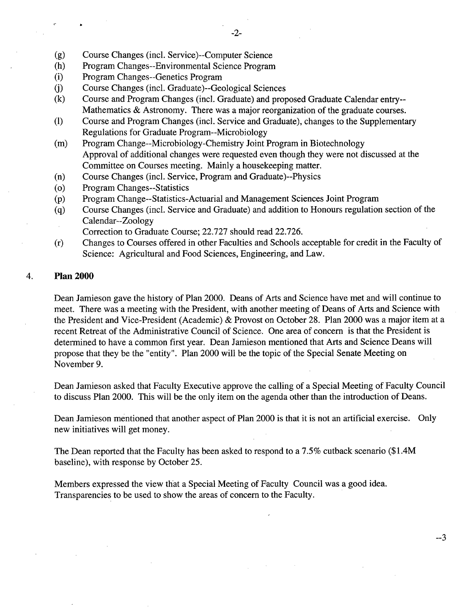- Course Changes (mci. Service)--Computer Science  $(g)$
- $(h)$ Program Changes--Environmental Science Program
- $(i)$ Program Changes--Genetics Program
- $(i)$ Course Changes (mci. Graduate)--Geological Sciences
- $(k)$ Course and Program Changes (mci. Graduate) and proposed Graduate Calendar entry-- Mathematics & Astronomy. There was a major reorganization of the graduate courses.
- (1) Course and Program Changes (mci. Service and Graduate), changes to the Supplementary Regulations for Graduate Program--Microbiology
- $(m)$ Program Change--Microbiology-Chemistry Joint Program in Biotechnology Approval of additional changes were requested even though they were not discussed at the Committee on Courses meeting. Mainly a housekeeping matter.
- Course Changes (mci. Service, Program and Graduate)--Physics  $(n)$
- Program Changes--Statistics  $\circ$
- Program Change--Statistics-Actuarial and Management Sciences Joint Program  $(p)$
- Course Changes (mci. Service and Graduate) and addition to Honours regulation section of the  $(q)$ Calendar--Zoology
	- Correction to Graduate Course; 22.727 should read 22.726.
- Changes to Courses offered in other Faculties and Schools acceptable for credit in the Faculty of  $(r)$ Science: Agricultural and Food Sciences, Engineering, and Law.

### **Plan 2000**  4.

Dean Jamieson gave the history of Plan 2000. Deans of Arts and Science have met and will continue to meet. There was a meeting with the President, with another meeting of Deans of Arts and Science with the President and Vice-President (Academic) & Provost on October 28. Plan 2000 was a major item at a recent Retreat of the Administrative Council of Science. One area of concern is that the President is determined to have a common first year. Dean Jamieson mentioned that Arts and Science Deans will propose that they be the "entity". Plan 2000 will be the topic of the Special Senate Meeting on November 9.

Dean Jamieson asked that Faculty Executive approve the calling of a Special Meeting of Faculty Council to discuss Plan 2000. This will be the only item on the agenda other than the introduction of Deans.

Dean Jamieson mentioned that another aspect of Plan 2000 is that it is not an artificial exercise. Only new initiatives will get money.

 $-3$ 

The Dean reported that the Faculty has been asked to respond to a *7.5%* cutback scenario (\$1 .4M baseline), with response by October *25.* 

Members expressed the view that a Special Meeting of Faculty Council was a good idea. Transparencies to be used to show the areas of concern to the Faculty.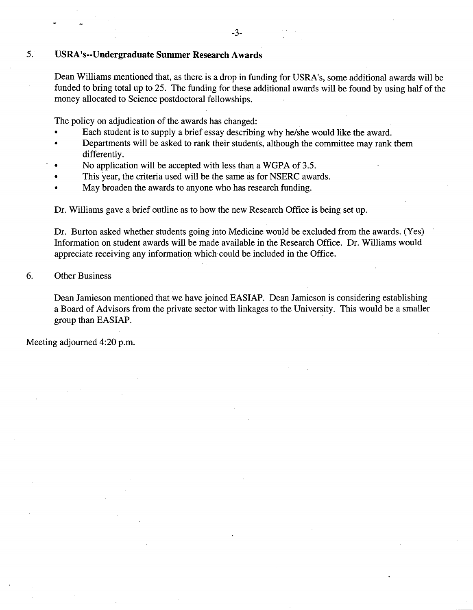### -3-

# *5.* **USRA's--Undergraduate Summer Research Awards**

Dean Williams mentioned that, as there is a drop in funding for USRA's, some additional awards will be funded to bring total up to *25.* The funding for these additional awards will be found by using half of the money allocated to Science postdoctoral fellowships.

The policy on adjudication of the awards has changed:

- Each student is to supply a brief essay describing why he/she would like the award.
- Departments will be asked to rank their students, although the committee may rank them differently.
- No application will be accepted with less than a WGPA of *3.5.*
- This year, the criteria used will be the same as for NSERC awards.
- May broaden the awards to anyone who has research funding.

Dr. Williams gave a brief outline as to how the new Research Office is being set up.

Dr. Burton asked whether students going into Medicine would be excluded from the awards. (Yes) Information on student awards will be made available in the Research Office. Dr. Williams would appreciate receiving any information which could be included in the Office.

## 6. Other Business

Dean Jamieson mentioned that we have joined EASIAP. Dean Jamieson is considering establishing a Board of Advisors from the private sector with linkages to the University. This would be a smaller group than EASIAP.

Meeting adjourned 4:20 p.m.